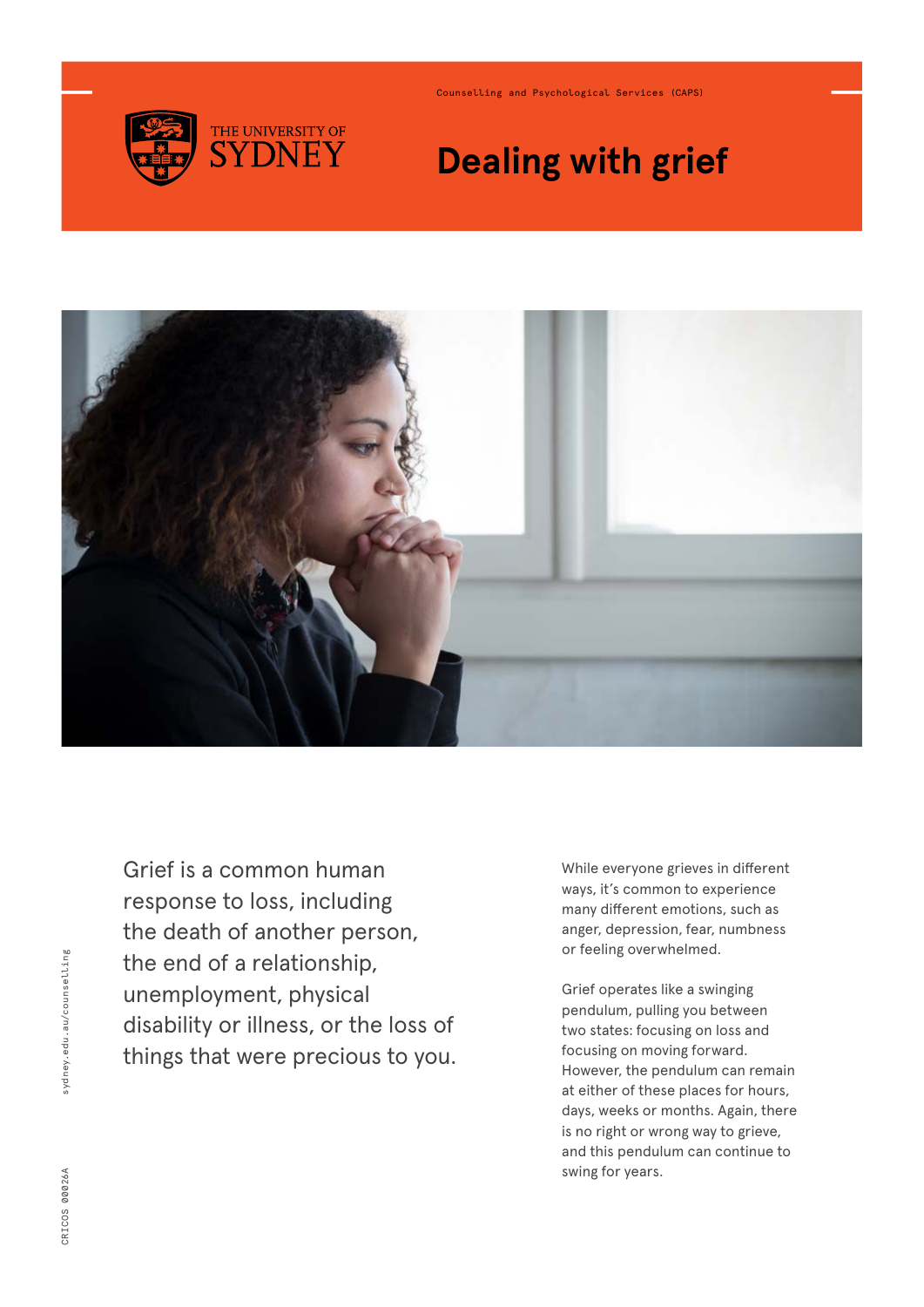

Counselling and Psychological Services (CAPS)

# **Dealing with grief**



Grief is a common human response to loss, including the death of another person, the end of a relationship, unemployment, physical disability or illness, or the loss of things that were precious to you.

While everyone grieves in different ways, it's common to experience many different emotions, such as anger, depression, fear, numbness or feeling overwhelmed.

Grief operates like a swinging pendulum, pulling you between two states: focusing on loss and focusing on moving forward. However, the pendulum can remain at either of these places for hours, days, weeks or months. Again, there is no right or wrong way to grieve, and this pendulum can continue to swing for years.